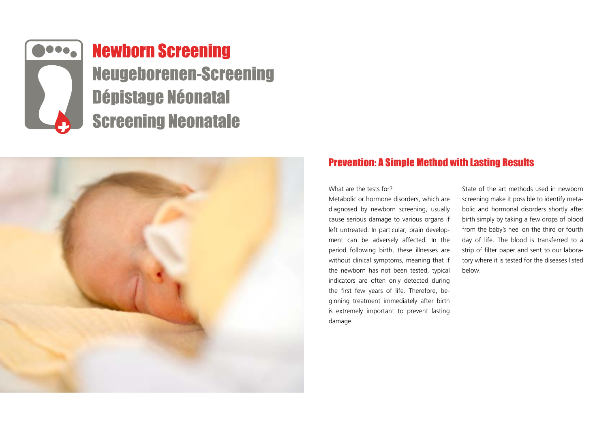

# **Newborn Screening Neugeborenen-Screening Dépistage Néonatal Screening Neonatale**



# Prevention: A Simple Method with Lasting Results

What are the tests for?

Metabolic or hormone disorders, which are diagnosed by newborn screening, usually cause serious damage to various organs if left untreated. In particular, brain development can be adversely affected. In the period following birth, these illnesses are without clinical symptoms, meaning that if the newborn has not been tested, typical indicators are often only detected during the first few years of life. Therefore, beginning treatment immediately after birth is extremely important to prevent lasting damage.

State of the art methods used in newborn screening make it possible to identify metabolic and hormonal disorders shortly after birth simply by taking a few drops of blood from the baby's heel on the third or fourth day of life. The blood is transferred to a strip of filter paper and sent to our laboratory where it is tested for the diseases listed below.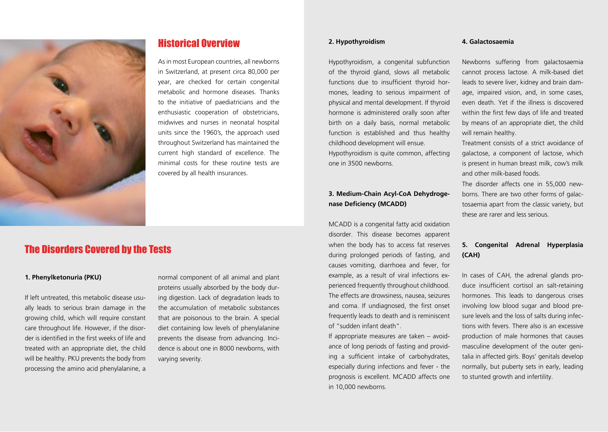

# Historical Overview

As in most European countries, all newborns in Switzerland, at present circa 80,000 per year, are checked for certain congenital metabolic and hormone diseases. Thanks to the initiative of paediatricians and the enthusiastic cooperation of obstetricians, midwives and nurses in neonatal hospital units since the 1960's, the approach used throughout Switzerland has maintained the current high standard of excellence. The minimal costs for these routine tests are covered by all health insurances.

# The Disorders Covered by the Tests

#### **1. Phenylketonuria (PKU)**

If left untreated, this metabolic disease usually leads to serious brain damage in the growing child, which will require constant care throughout life. However, if the disorder is identified in the first weeks of life and treated with an appropriate diet, the child will be healthy. PKU prevents the body from processing the amino acid phenylalanine, a normal component of all animal and plant proteins usually absorbed by the body during digestion. Lack of degradation leads to the accumulation of metabolic substances that are poisonous to the brain. A special diet containing low levels of phenylalanine prevents the disease from advancing. Incidence is about one in 8000 newborns, with varying severity.

## **2. Hypothyroidism**

Hypothyroidism, a congenital subfunction of the thyroid gland, slows all metabolic functions due to insufficient thyroid hormones, leading to serious impairment of physical and mental development. If thyroid hormone is administered orally soon after birth on a daily basis, normal metabolic function is established and thus healthy childhood development will ensue. Hypothyroidism is quite common, affecting one in 3500 newborns.

# **3. Medium-Chain Acyl-CoA Dehydrogenase Deficiency (MCADD)**

MCADD is a congenital fatty acid oxidation disorder. This disease becomes apparent when the body has to access fat reserves during prolonged periods of fasting, and causes vomiting, diarrhoea and fever, for example, as a result of viral infections experienced frequently throughout childhood. The effects are drowsiness, nausea, seizures and coma. If undiagnosed, the first onset frequently leads to death and is reminiscent of "sudden infant death".

If appropriate measures are taken – avoidance of long periods of fasting and providing a sufficient intake of carbohydrates, especially during infections and fever - the prognosis is excellent. MCADD affects one in 10,000 newborns.

## **4. Galactosaemia**

Newborns suffering from galactosaemia cannot process lactose. A milk-based diet leads to severe liver, kidney and brain damage, impaired vision, and, in some cases, even death. Yet if the illness is discovered within the first few days of life and treated by means of an appropriate diet, the child will remain healthy.

Treatment consists of a strict avoidance of galactose, a component of lactose, which is present in human breast milk, cow's milk and other milk-based foods.

The disorder affects one in 55,000 newborns. There are two other forms of galactosaemia apart from the classic variety, but these are rarer and less serious.

# **5. Congenital Adrenal Hyperplasia (CAH)**

In cases of CAH, the adrenal glands produce insufficient cortisol an salt-retaining hormones. This leads to dangerous crises involving low blood sugar and blood presure levels and the loss of salts during infections with fevers. There also is an excessive production of male hormones that causes masculine development of the outer genitalia in affected girls. Boys' genitals develop normally, but puberty sets in early, leading to stunted growth and infertility.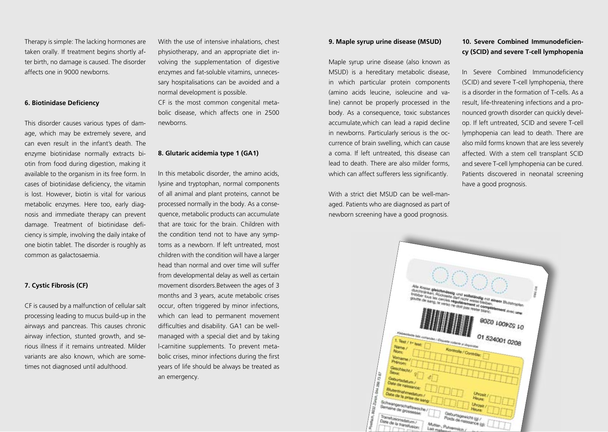Therapy is simple: The lacking hormones are taken orally. If treatment begins shortly after birth, no damage is caused. The disorder affects one in 9000 newborns.

## **6. Biotinidase Deficiency**

This disorder causes various types of damage, which may be extremely severe, and can even result in the infant's death. The enzyme biotinidase normally extracts biotin from food during digestion, making it available to the organism in its free form. In cases of biotinidase deficiency, the vitamin is lost. However, biotin is vital for various metabolic enzymes. Here too, early diagnosis and immediate therapy can prevent damage. Treatment of biotinidase deficiency is simple, involving the daily intake of one biotin tablet. The disorder is roughly as common as galactosaemia.

#### **7. Cystic Fibrosis (CF)**

CF is caused by a malfunction of cellular salt processing leading to mucus build-up in the airways and pancreas. This causes chronic airway infection, stunted growth, and serious illness if it remains untreated. Milder variants are also known, which are sometimes not diagnosed until adulthood.

With the use of intensive inhalations, chest physiotherapy, and an appropriate diet involving the supplementation of digestive enzymes and fat-soluble vitamins, unnecessary hospitalisations can be avoided and a normal development is possible. CF is the most common congenital meta-

bolic disease, which affects one in 2500 newborns.

## **8. Glutaric acidemia type 1 (GA1)**

In this metabolic disorder, the amino acids, lysine and tryptophan, normal components of all animal and plant proteins, cannot be processed normally in the body. As a consequence, metabolic products can accumulate that are toxic for the brain. Children with the condition tend not to have any symptoms as a newborn. If left untreated, most children with the condition will have a larger head than normal and over time will suffer from developmental delay as well as certain movement disorders.Between the ages of 3 months and 3 years, acute metabolic crises occur, often triggered by minor infections, which can lead to permanent movement difficulties and disability. GA1 can be wellmanaged with a special diet and by taking l-carnitine supplements. To prevent metabolic crises, minor infections during the first years of life should be always be treated as an emergency.

#### **9. Maple syrup urine disease (MSUD)**

Maple syrup urine disease (also known as MSUD) is a hereditary metabolic disease, in which particular protein components (amino acids leucine, isoleucine and valine) cannot be properly processed in the body. As a consequence, toxic substances accumulate,which can lead a rapid decline in newborns. Particularly serious is the occurrence of brain swelling, which can cause a coma. If left untreated, this disease can lead to death. There are also milder forms, which can affect sufferers less significantly.

With a strict diet MSUD can be well-managed. Patients who are diagnosed as part of newborn screening have a good prognosis.

# **10. Severe Combined Immunodeficiency (SCID) and severe T-cell lymphopenia**

In Severe Combined Immunodeficiency (SCID) and severe T-cell lymphopenia, there is a disorder in the formation of T-cells. As a result, life-threatening infections and a pronounced growth disorder can quickly develop. If left untreated, SCID and severe T-cell lymphopenia can lead to death. There are also mild forms known that are less severely affected. With a stem cell transplant SCID and severe T-cell lymphopenia can be cured. Patients discovered in neonatal screening have a good prognosis.